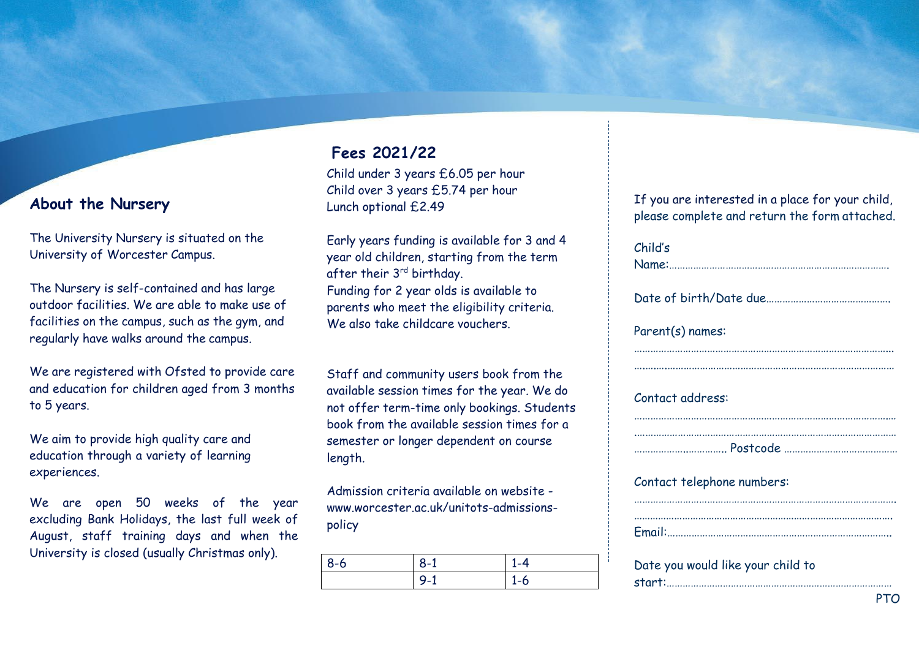## **About the Nursery**

The University Nursery is situated on the University of Worcester Campus.

The Nursery is self-contained and has large outdoor facilities. We are able to make use of facilities on the campus, such as the gym, and regularly have walks around the campus.

We are registered with Ofsted to provide care and education for children aged from 3 months to 5 years.

We aim to provide high quality care and education through a variety of learning experiences.

We are open 50 weeks of the year excluding Bank Holidays, the last full week of August, staff training days and when the University is closed (usually Christmas only).

## **Fees 2021/22**

Child under 3 years £6.05 per hour Child over 3 years £5.74 per hour Lunch optional £2.49

Early years funding is available for 3 and 4 year old children, starting from the term after their 3<sup>rd</sup> birthday. Funding for 2 year olds is available to parents who meet the eligibility criteria. We also take childcare vouchers.

Staff and community users book from the available session times for the year. We do not offer term-time only bookings. Students book from the available session times for a semester or longer dependent on course length.

Admission criteria available on website www.worcester.ac.uk/unitots-admissionspolicy

| $8 - 6$ | െ<br>- č- | $-4$ |
|---------|-----------|------|
|         |           | 1-6  |

If you are interested in a place for your child, please complete and return the form attached.

Child's

Name:……………………………………………………………………….

Date of birth/Date due

…………………………………………………………………………………... ….….….…………………………………………………………………………

Parent(s) names:

#### Contact address:

Contact telephone numbers:

…………………………………………………………………………………….

Date you would like your child to start:…………………………………………………………………………